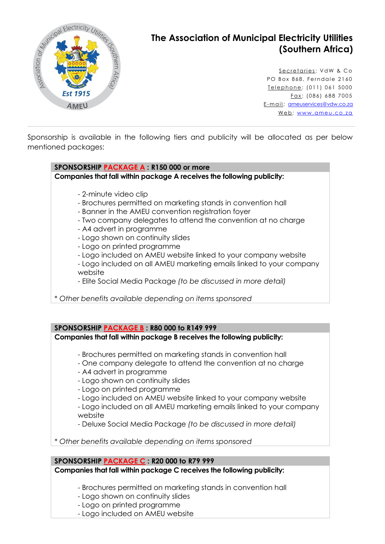

# **The Association of Municipal Electricity Utilities (Southern Africa)**

Secretaries: VdW & Co PO Box 868, Ferndale 2160 Telephone: (011) 061 5000  $F$ ax: (086) 688 7005 E-mail: [ameuservices@vdw.co.za](mailto:ameuservices@vdw.co.za) Web: www.ameu.co.za

Sponsorship is available in the following tiers and publicity will be allocated as per below mentioned packages:

**SPONSORSHIP PACKAGE A : R150 000 or more**

**Companies that fall within package A receives the following publicity:**

- 2-minute video clip
- Brochures permitted on marketing stands in convention hall
- Banner in the AMEU convention registration foyer
- Two company delegates to attend the convention at no charge
- A4 advert in programme
- Logo shown on continuity slides
- Logo on printed programme
- Logo included on AMEU website linked to your company website

- Logo included on all AMEU marketing emails linked to your company website

- Elite Social Media Package *(to be discussed in more detail)*

\* *Other benefits available depending on items sponsored*

**SPONSORSHIP PACKAGE B : R80 000 to R149 999** 

**Companies that fall within package B receives the following publicity:**

- Brochures permitted on marketing stands in convention hall
- One company delegate to attend the convention at no charge
- A4 advert in programme

- Logo shown on continuity slides

- Logo on printed programme

- Logo included on AMEU website linked to your company website

- Logo included on all AMEU marketing emails linked to your company website

- Deluxe Social Media Package *(to be discussed in more detail)*

*\* Other benefits available depending on items sponsored*

#### **SPONSORSHIP PACKAGE C : R20 000 to R79 999**

**Companies that fall within package C receives the following publicity:**

- Brochures permitted on marketing stands in convention hall

- Logo shown on continuity slides
- Logo on printed programme
- Logo included on AMEU website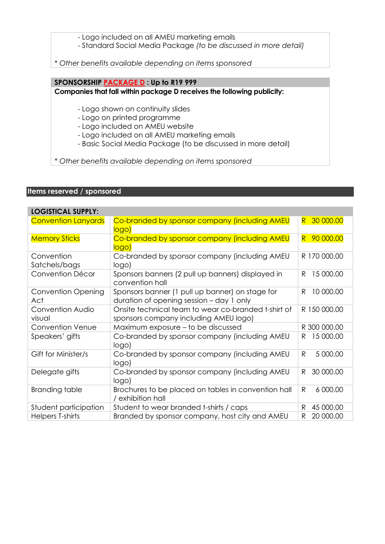- Logo included on all AMEU marketing emails

- Standard Social Media Package *(to be discussed in more detail)*

*\* Other benefits available depending on items sponsored*

### **SPONSORSHIP PACKAGE D : Up to R19 999**

**Companies that fall within package D receives the following publicity:**

- Logo shown on continuity slides
- Logo on printed programme
- Logo included on AMEU website
- Logo included on all AMEU marketing emails
- Basic Social Media Package (to be discussed in more detail)

*\* Other benefits available depending on items sponsored*

### **Items reserved / sponsored**

| <b>LOGISTICAL SUPPLY:</b>        |                                                                                              |                          |
|----------------------------------|----------------------------------------------------------------------------------------------|--------------------------|
| <b>Convention Lanyards</b>       | Co-branded by sponsor company (including AMEU<br>logo)                                       | 30 000.00<br>R.          |
| <b>Memory Sticks</b>             | Co-branded by sponsor company (including AMEU<br>logo)                                       | 90 000.00<br>R           |
| Convention<br>Satchels/bags      | Co-branded by sponsor company (including AMEU<br>logo)                                       | R 170 000.00             |
| Convention Décor                 | Sponsors banners (2 pull up banners) displayed in<br>convention hall                         | 15 000.00<br>R           |
| <b>Convention Opening</b><br>Act | Sponsors banner (1 pull up banner) on stage for<br>duration of opening session – day 1 only  | R<br>10 000.00           |
| Convention Audio<br>visual       | Onsite technical team to wear co-branded t-shirt of<br>sponsors company including AMEU logo) | R 150 000.00             |
| <b>Convention Venue</b>          | Maximum exposure – to be discussed                                                           | R 300 000.00             |
| Speakers' gifts                  | Co-branded by sponsor company (including AMEU<br>logo)                                       | 15 000.00<br>R           |
| Gift for Minister/s              | Co-branded by sponsor company (including AMEU<br>logo)                                       | 5 000.00<br>$\mathsf{R}$ |
| Delegate gifts                   | Co-branded by sponsor company (including AMEU<br>logo)                                       | 30 000.00<br>R           |
| Branding table                   | Brochures to be placed on tables in convention hall<br>/ exhibition hall                     | R<br>6 000.00            |
| Student participation            | Student to wear branded t-shirts / caps                                                      | 45 000.00<br>R           |
| Helpers T-shirts                 | Branded by sponsor company, host city and AMEU                                               | 20 000.00<br>R           |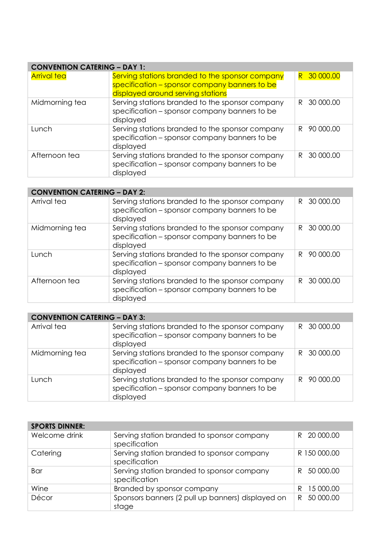| <b>CONVENTION CATERING - DAY 1:</b> |                                                                                                                                       |                 |
|-------------------------------------|---------------------------------------------------------------------------------------------------------------------------------------|-----------------|
| <b>Arrival tea</b>                  | Serving stations branded to the sponsor company<br>specification – sponsor company banners to be<br>displayed around serving stations | R 30 000.00     |
| Midmorning tea                      | Serving stations branded to the sponsor company<br>specification - sponsor company banners to be<br>displayed                         | 30 000.00<br>R. |
| Lunch                               | Serving stations branded to the sponsor company<br>specification - sponsor company banners to be<br>displayed                         | 90 000.00<br>R  |
| Afternoon tea                       | Serving stations branded to the sponsor company<br>specification - sponsor company banners to be<br>displayed                         | 30 000.00<br>R. |

| <b>CONVENTION CATERING - DAY 2:</b> |                                                                                                               |                 |
|-------------------------------------|---------------------------------------------------------------------------------------------------------------|-----------------|
| Arrival tea                         | Serving stations branded to the sponsor company<br>specification – sponsor company banners to be<br>displayed | 30 000.00<br>R. |
| Midmorning tea                      | Serving stations branded to the sponsor company<br>specification - sponsor company banners to be<br>displayed | 30 000.00<br>R. |
| Lunch                               | Serving stations branded to the sponsor company<br>specification – sponsor company banners to be<br>displayed | 90 000.00<br>R  |
| Afternoon tea                       | Serving stations branded to the sponsor company<br>specification - sponsor company banners to be<br>displayed | 30 000.00<br>R  |

| <b>CONVENTION CATERING - DAY 3:</b> |                                                                                                               |                 |
|-------------------------------------|---------------------------------------------------------------------------------------------------------------|-----------------|
| Arrival tea                         | Serving stations branded to the sponsor company<br>specification - sponsor company banners to be<br>displayed | R 30 000.00     |
| Midmorning tea                      | Serving stations branded to the sponsor company<br>specification - sponsor company banners to be<br>displayed | R 30 000.00     |
| Lunch                               | Serving stations branded to the sponsor company<br>specification - sponsor company banners to be<br>displayed | 90 000.00<br>R. |

| <b>SPORTS DINNER:</b> |                                                             |                |
|-----------------------|-------------------------------------------------------------|----------------|
| Welcome drink         | Serving station branded to sponsor company<br>specification | R 20 000.00    |
| Catering              | Serving station branded to sponsor company<br>specification | R 150 000.00   |
| Bar                   | Serving station branded to sponsor company<br>specification | 50 000.00<br>R |
| Wine                  | Branded by sponsor company                                  | 15 000.00<br>R |
| Décor                 | Sponsors banners (2 pull up banners) displayed on<br>stage  | 50 000.00<br>R |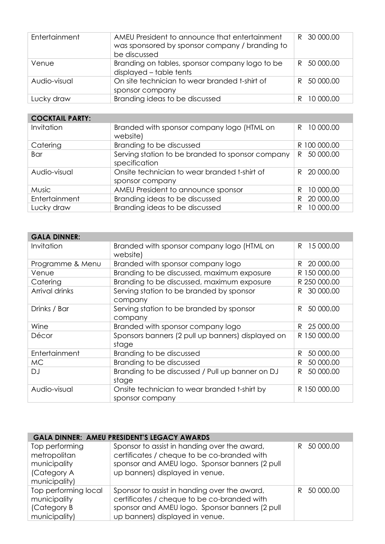| Entertainment | AMEU President to announce that entertainment<br>was sponsored by sponsor company / branding to<br>be discussed | R 30 000.00 |
|---------------|-----------------------------------------------------------------------------------------------------------------|-------------|
| Venue         | Branding on tables, sponsor company logo to be<br>displayed - table tents                                       | R 50 000.00 |
| Audio-visual  | On site technician to wear branded t-shirt of<br>sponsor company                                                | R 50 000.00 |
| Lucky draw    | Branding ideas to be discussed                                                                                  | 10 000.00   |

## **COCKTAIL PARTY:**

| Invitation    | Branded with sponsor company logo (HTML on<br>website)            | 10 000.00<br>R. |
|---------------|-------------------------------------------------------------------|-----------------|
| Catering      | Branding to be discussed                                          | R 100 000.00    |
| Bar           | Serving station to be branded to sponsor company<br>specification | 50 000.00<br>R. |
| Audio-visual  | Onsite technician to wear branded t-shirt of<br>sponsor company   | R 20 000.00     |
| <b>Music</b>  | AMEU President to announce sponsor                                | 10 000.00<br>R  |
| Entertainment | Branding ideas to be discussed                                    | 20 000.00<br>R  |
| Lucky draw    | Branding ideas to be discussed                                    | 10 000.00<br>R  |

| <b>GALA DINNER:</b> |                                                                 |                 |
|---------------------|-----------------------------------------------------------------|-----------------|
| Invitation          | Branded with sponsor company logo (HTML on<br>website)          | 15 000.00<br>R  |
| Programme & Menu    | Branded with sponsor company logo                               | 20 000.00<br>R  |
| Venue               | Branding to be discussed, maximum exposure                      | R 150 000.00    |
| Catering            | Branding to be discussed, maximum exposure                      | R 250 000.00    |
| Arrival drinks      | Serving station to be branded by sponsor<br>company             | 30 000.00<br>R. |
| Drinks / Bar        | Serving station to be branded by sponsor<br>company             | R<br>50 000.00  |
| Wine                | Branded with sponsor company logo                               | 25 000.00<br>R  |
| Décor               | Sponsors banners (2 pull up banners) displayed on<br>stage      | R 150 000.00    |
| Entertainment       | Branding to be discussed                                        | 50 000.00<br>R  |
| <b>MC</b>           | Branding to be discussed                                        | 50 000.00<br>R  |
| DJ                  | Branding to be discussed / Pull up banner on DJ<br>stage        | R.<br>50 000.00 |
| Audio-visual        | Onsite technician to wear branded t-shirt by<br>sponsor company | R 150 000.00    |

| <b>GALA DINNER: AMEU PRESIDENT'S LEGACY AWARDS</b> |                                                |                |  |
|----------------------------------------------------|------------------------------------------------|----------------|--|
| Top performing                                     | Sponsor to assist in handing over the award,   | 50 000.00<br>R |  |
| metropolitan                                       | certificates / cheque to be co-branded with    |                |  |
| municipality                                       | sponsor and AMEU logo. Sponsor banners (2 pull |                |  |
| (Category A                                        | up banners) displayed in venue.                |                |  |
| municipality)                                      |                                                |                |  |
| Top performing local                               | Sponsor to assist in handing over the award,   | 50 000.00<br>R |  |
| municipality                                       | certificates / cheque to be co-branded with    |                |  |
| (Category B                                        | sponsor and AMEU logo. Sponsor banners (2 pull |                |  |
| municipality)                                      | up banners) displayed in venue.                |                |  |